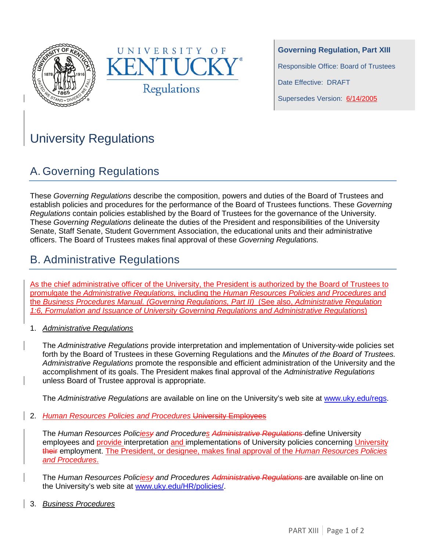



**Governing Regulation, Part XIII** Responsible Office: Board of Trustees Date Effective: DRAFT Supersedes Version: 6/14/2005

# University Regulations

## A. Governing Regulations

These *Governing Regulations* describe the composition, powers and duties of the Board of Trustees and establish policies and procedures for the performance of the Board of Trustees functions. These *Governing Regulations* contain policies established by the Board of Trustees for the governance of the University. These *Governing Regulations* delineate the duties of the President and responsibilities of the University Senate, Staff Senate, Student Government Association, the educational units and their administrative officers. The Board of Trustees makes final approval of these *Governing Regulations.*

### B. Administrative Regulations

As the chief administrative officer of the University, the President is authorized by the Board of Trustees to promulgate the *Administrative Regulations,* including the *Human Resources Policies and Procedures* and the *Business Procedures Manual. (Governing Regulations, Part II)* (See also, *Administrative Regulation 1:6, Formulation and Issuance of University Governing Regulations and Administrative Regulations*)

1. *Administrative Regulations*

The *Administrative Regulations* provide interpretation and implementation of University-wide policies set forth by the Board of Trustees in these Governing Regulations and the *Minutes of the Board of Trustees. Administrative Regulations* promote the responsible and efficient administration of the University and the accomplishment of its goals. The President makes final approval of the *Administrative Regulations*  unless Board of Trustee approval is appropriate.

The *Administrative Regulations* are available on line on the University's web site at [www.uky.edu/regs.](http://www.uky.edu/regs)

2. *Human Resources Policies and Procedures* University Employees

The *Human Resources Policiesy and Procedures Administrative Regulations* define University employees and **provide** interpretation and implementations of University policies concerning *University* their employment. The President, or designee, makes final approval of the *Human Resources Policies and Procedures*.

The *Human Resources Policiesy and Procedures Administrative Regulations* are available on line on the University's web site at [www.uky.edu/HR/policies/.](http://www.uky.edu/HR/policies/)

3. *Business Procedures*